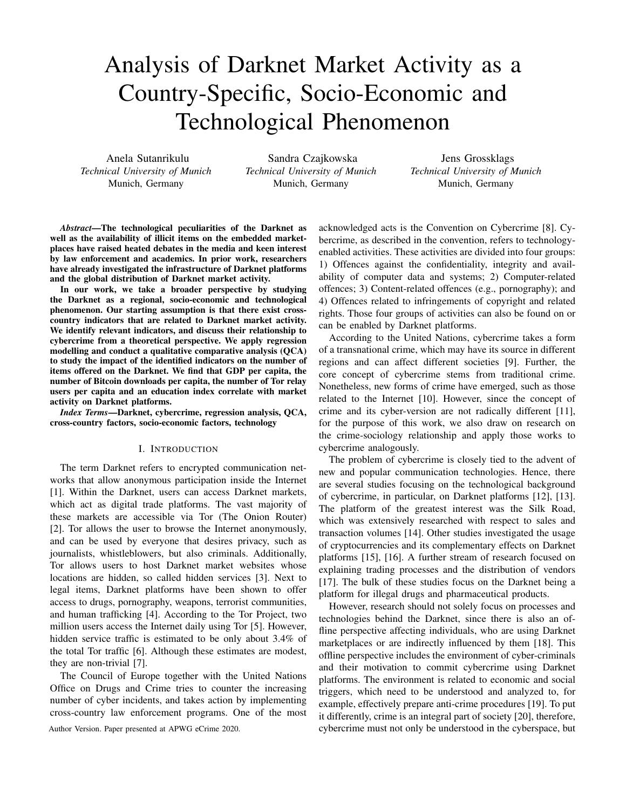# Analysis of Darknet Market Activity as a Country-Specific, Socio-Economic and Technological Phenomenon

Anela Sutanrikulu *Technical University of Munich* Munich, Germany

Sandra Czajkowska *Technical University of Munich* Munich, Germany

Jens Grossklags *Technical University of Munich* Munich, Germany

*Abstract*—The technological peculiarities of the Darknet as well as the availability of illicit items on the embedded marketplaces have raised heated debates in the media and keen interest by law enforcement and academics. In prior work, researchers have already investigated the infrastructure of Darknet platforms and the global distribution of Darknet market activity.

In our work, we take a broader perspective by studying the Darknet as a regional, socio-economic and technological phenomenon. Our starting assumption is that there exist crosscountry indicators that are related to Darknet market activity. We identify relevant indicators, and discuss their relationship to cybercrime from a theoretical perspective. We apply regression modelling and conduct a qualitative comparative analysis (QCA) to study the impact of the identified indicators on the number of items offered on the Darknet. We find that GDP per capita, the number of Bitcoin downloads per capita, the number of Tor relay users per capita and an education index correlate with market activity on Darknet platforms.

*Index Terms*—Darknet, cybercrime, regression analysis, QCA, cross-country factors, socio-economic factors, technology

#### I. INTRODUCTION

The term Darknet refers to encrypted communication networks that allow anonymous participation inside the Internet [1]. Within the Darknet, users can access Darknet markets, which act as digital trade platforms. The vast majority of these markets are accessible via Tor (The Onion Router) [2]. Tor allows the user to browse the Internet anonymously, and can be used by everyone that desires privacy, such as journalists, whistleblowers, but also criminals. Additionally, Tor allows users to host Darknet market websites whose locations are hidden, so called hidden services [3]. Next to legal items, Darknet platforms have been shown to offer access to drugs, pornography, weapons, terrorist communities, and human trafficking [4]. According to the Tor Project, two million users access the Internet daily using Tor [5]. However, hidden service traffic is estimated to be only about 3.4% of the total Tor traffic [6]. Although these estimates are modest, they are non-trivial [7].

The Council of Europe together with the United Nations Office on Drugs and Crime tries to counter the increasing number of cyber incidents, and takes action by implementing cross-country law enforcement programs. One of the most

acknowledged acts is the Convention on Cybercrime [8]. Cybercrime, as described in the convention, refers to technologyenabled activities. These activities are divided into four groups: 1) Offences against the confidentiality, integrity and availability of computer data and systems; 2) Computer-related offences; 3) Content-related offences (e.g., pornography); and 4) Offences related to infringements of copyright and related rights. Those four groups of activities can also be found on or can be enabled by Darknet platforms.

According to the United Nations, cybercrime takes a form of a transnational crime, which may have its source in different regions and can affect different societies [9]. Further, the core concept of cybercrime stems from traditional crime. Nonetheless, new forms of crime have emerged, such as those related to the Internet [10]. However, since the concept of crime and its cyber-version are not radically different [11], for the purpose of this work, we also draw on research on the crime-sociology relationship and apply those works to cybercrime analogously.

The problem of cybercrime is closely tied to the advent of new and popular communication technologies. Hence, there are several studies focusing on the technological background of cybercrime, in particular, on Darknet platforms [12], [13]. The platform of the greatest interest was the Silk Road, which was extensively researched with respect to sales and transaction volumes [14]. Other studies investigated the usage of cryptocurrencies and its complementary effects on Darknet platforms [15], [16]. A further stream of research focused on explaining trading processes and the distribution of vendors [17]. The bulk of these studies focus on the Darknet being a platform for illegal drugs and pharmaceutical products.

However, research should not solely focus on processes and technologies behind the Darknet, since there is also an offline perspective affecting individuals, who are using Darknet marketplaces or are indirectly influenced by them [18]. This offline perspective includes the environment of cyber-criminals and their motivation to commit cybercrime using Darknet platforms. The environment is related to economic and social triggers, which need to be understood and analyzed to, for example, effectively prepare anti-crime procedures [19]. To put it differently, crime is an integral part of society [20], therefore, Author Version. Paper presented at APWG eCrime 2020. cybercrime must not only be understood in the cyberspace, but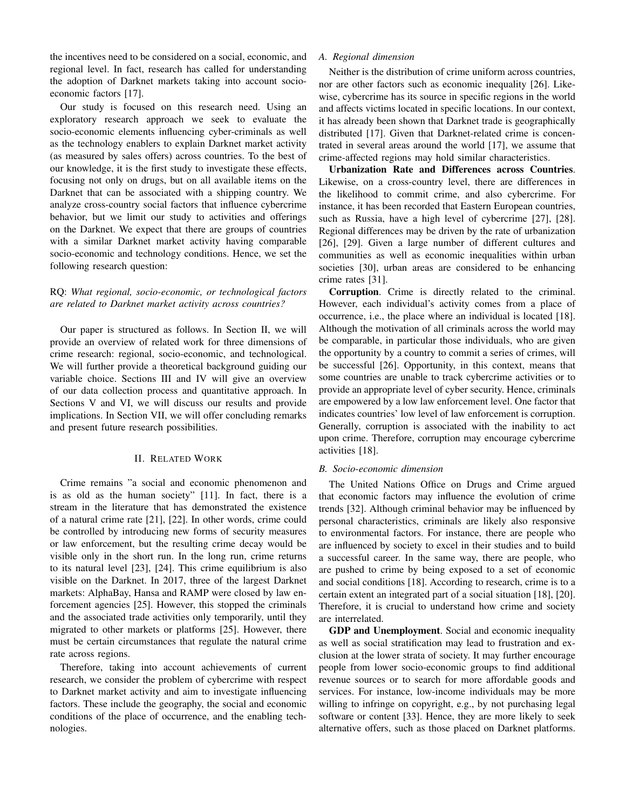the incentives need to be considered on a social, economic, and regional level. In fact, research has called for understanding the adoption of Darknet markets taking into account socioeconomic factors [17].

Our study is focused on this research need. Using an exploratory research approach we seek to evaluate the socio-economic elements influencing cyber-criminals as well as the technology enablers to explain Darknet market activity (as measured by sales offers) across countries. To the best of our knowledge, it is the first study to investigate these effects, focusing not only on drugs, but on all available items on the Darknet that can be associated with a shipping country. We analyze cross-country social factors that influence cybercrime behavior, but we limit our study to activities and offerings on the Darknet. We expect that there are groups of countries with a similar Darknet market activity having comparable socio-economic and technology conditions. Hence, we set the following research question:

# RQ: *What regional, socio-economic, or technological factors are related to Darknet market activity across countries?*

Our paper is structured as follows. In Section II, we will provide an overview of related work for three dimensions of crime research: regional, socio-economic, and technological. We will further provide a theoretical background guiding our variable choice. Sections III and IV will give an overview of our data collection process and quantitative approach. In Sections V and VI, we will discuss our results and provide implications. In Section VII, we will offer concluding remarks and present future research possibilities.

## II. RELATED WORK

Crime remains "a social and economic phenomenon and is as old as the human society" [11]. In fact, there is a stream in the literature that has demonstrated the existence of a natural crime rate [21], [22]. In other words, crime could be controlled by introducing new forms of security measures or law enforcement, but the resulting crime decay would be visible only in the short run. In the long run, crime returns to its natural level [23], [24]. This crime equilibrium is also visible on the Darknet. In 2017, three of the largest Darknet markets: AlphaBay, Hansa and RAMP were closed by law enforcement agencies [25]. However, this stopped the criminals and the associated trade activities only temporarily, until they migrated to other markets or platforms [25]. However, there must be certain circumstances that regulate the natural crime rate across regions.

Therefore, taking into account achievements of current research, we consider the problem of cybercrime with respect to Darknet market activity and aim to investigate influencing factors. These include the geography, the social and economic conditions of the place of occurrence, and the enabling technologies.

# *A. Regional dimension*

Neither is the distribution of crime uniform across countries, nor are other factors such as economic inequality [26]. Likewise, cybercrime has its source in specific regions in the world and affects victims located in specific locations. In our context, it has already been shown that Darknet trade is geographically distributed [17]. Given that Darknet-related crime is concentrated in several areas around the world [17], we assume that crime-affected regions may hold similar characteristics.

Urbanization Rate and Differences across Countries. Likewise, on a cross-country level, there are differences in the likelihood to commit crime, and also cybercrime. For instance, it has been recorded that Eastern European countries, such as Russia, have a high level of cybercrime [27], [28]. Regional differences may be driven by the rate of urbanization [26], [29]. Given a large number of different cultures and communities as well as economic inequalities within urban societies [30], urban areas are considered to be enhancing crime rates [31].

Corruption. Crime is directly related to the criminal. However, each individual's activity comes from a place of occurrence, i.e., the place where an individual is located [18]. Although the motivation of all criminals across the world may be comparable, in particular those individuals, who are given the opportunity by a country to commit a series of crimes, will be successful [26]. Opportunity, in this context, means that some countries are unable to track cybercrime activities or to provide an appropriate level of cyber security. Hence, criminals are empowered by a low law enforcement level. One factor that indicates countries' low level of law enforcement is corruption. Generally, corruption is associated with the inability to act upon crime. Therefore, corruption may encourage cybercrime activities [18].

#### *B. Socio-economic dimension*

The United Nations Office on Drugs and Crime argued that economic factors may influence the evolution of crime trends [32]. Although criminal behavior may be influenced by personal characteristics, criminals are likely also responsive to environmental factors. For instance, there are people who are influenced by society to excel in their studies and to build a successful career. In the same way, there are people, who are pushed to crime by being exposed to a set of economic and social conditions [18]. According to research, crime is to a certain extent an integrated part of a social situation [18], [20]. Therefore, it is crucial to understand how crime and society are interrelated.

GDP and Unemployment. Social and economic inequality as well as social stratification may lead to frustration and exclusion at the lower strata of society. It may further encourage people from lower socio-economic groups to find additional revenue sources or to search for more affordable goods and services. For instance, low-income individuals may be more willing to infringe on copyright, e.g., by not purchasing legal software or content [33]. Hence, they are more likely to seek alternative offers, such as those placed on Darknet platforms.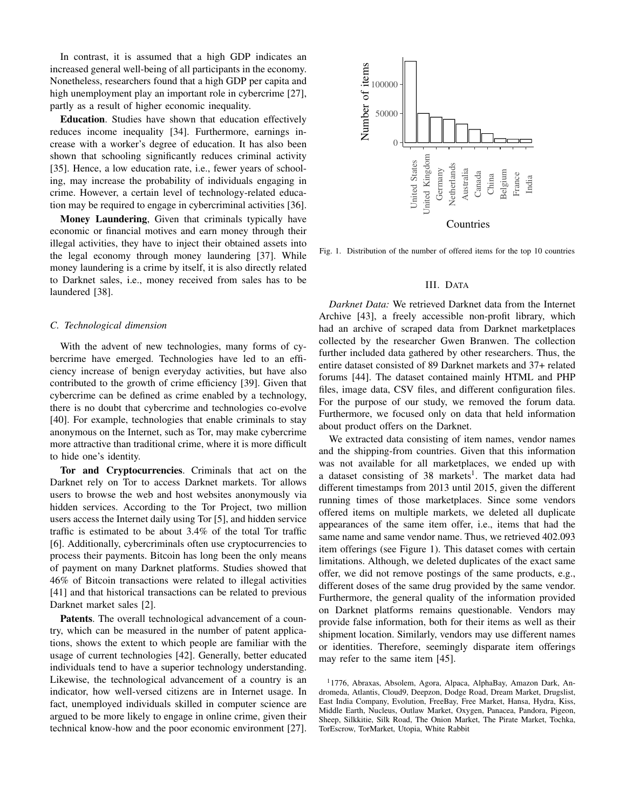In contrast, it is assumed that a high GDP indicates an increased general well-being of all participants in the economy. Nonetheless, researchers found that a high GDP per capita and high unemployment play an important role in cybercrime [27], partly as a result of higher economic inequality.

Education. Studies have shown that education effectively reduces income inequality [34]. Furthermore, earnings increase with a worker's degree of education. It has also been shown that schooling significantly reduces criminal activity [35]. Hence, a low education rate, i.e., fewer years of schooling, may increase the probability of individuals engaging in crime. However, a certain level of technology-related education may be required to engage in cybercriminal activities [36].

Money Laundering, Given that criminals typically have economic or financial motives and earn money through their illegal activities, they have to inject their obtained assets into the legal economy through money laundering [37]. While money laundering is a crime by itself, it is also directly related to Darknet sales, i.e., money received from sales has to be laundered [38].

#### *C. Technological dimension*

With the advent of new technologies, many forms of cybercrime have emerged. Technologies have led to an efficiency increase of benign everyday activities, but have also contributed to the growth of crime efficiency [39]. Given that cybercrime can be defined as crime enabled by a technology, there is no doubt that cybercrime and technologies co-evolve [40]. For example, technologies that enable criminals to stay anonymous on the Internet, such as Tor, may make cybercrime more attractive than traditional crime, where it is more difficult to hide one's identity.

Tor and Cryptocurrencies. Criminals that act on the Darknet rely on Tor to access Darknet markets. Tor allows users to browse the web and host websites anonymously via hidden services. According to the Tor Project, two million users access the Internet daily using Tor [5], and hidden service traffic is estimated to be about 3.4% of the total Tor traffic [6]. Additionally, cybercriminals often use cryptocurrencies to process their payments. Bitcoin has long been the only means of payment on many Darknet platforms. Studies showed that 46% of Bitcoin transactions were related to illegal activities [41] and that historical transactions can be related to previous Darknet market sales [2].

Patents. The overall technological advancement of a country, which can be measured in the number of patent applications, shows the extent to which people are familiar with the usage of current technologies [42]. Generally, better educated individuals tend to have a superior technology understanding. Likewise, the technological advancement of a country is an indicator, how well-versed citizens are in Internet usage. In fact, unemployed individuals skilled in computer science are argued to be more likely to engage in online crime, given their technical know-how and the poor economic environment [27].



Fig. 1. Distribution of the number of offered items for the top 10 countries

#### III. DATA

*Darknet Data:* We retrieved Darknet data from the Internet Archive [43], a freely accessible non-profit library, which had an archive of scraped data from Darknet marketplaces collected by the researcher Gwen Branwen. The collection further included data gathered by other researchers. Thus, the entire dataset consisted of 89 Darknet markets and 37+ related forums [44]. The dataset contained mainly HTML and PHP files, image data, CSV files, and different configuration files. For the purpose of our study, we removed the forum data. Furthermore, we focused only on data that held information about product offers on the Darknet.

We extracted data consisting of item names, vendor names and the shipping-from countries. Given that this information was not available for all marketplaces, we ended up with a dataset consisting of 38 markets<sup>1</sup>. The market data had different timestamps from 2013 until 2015, given the different running times of those marketplaces. Since some vendors offered items on multiple markets, we deleted all duplicate appearances of the same item offer, i.e., items that had the same name and same vendor name. Thus, we retrieved 402.093 item offerings (see Figure 1). This dataset comes with certain limitations. Although, we deleted duplicates of the exact same offer, we did not remove postings of the same products, e.g., different doses of the same drug provided by the same vendor. Furthermore, the general quality of the information provided on Darknet platforms remains questionable. Vendors may provide false information, both for their items as well as their shipment location. Similarly, vendors may use different names or identities. Therefore, seemingly disparate item offerings may refer to the same item [45].

<sup>1</sup>1776, Abraxas, Absolem, Agora, Alpaca, AlphaBay, Amazon Dark, Andromeda, Atlantis, Cloud9, Deepzon, Dodge Road, Dream Market, Drugslist, East India Company, Evolution, FreeBay, Free Market, Hansa, Hydra, Kiss, Middle Earth, Nucleus, Outlaw Market, Oxygen, Panacea, Pandora, Pigeon, Sheep, Silkkitie, Silk Road, The Onion Market, The Pirate Market, Tochka, TorEscrow, TorMarket, Utopia, White Rabbit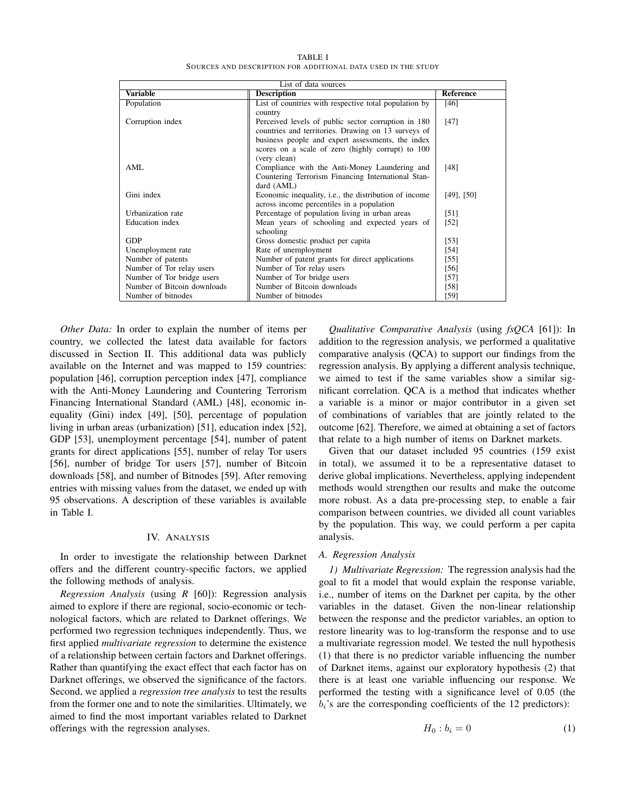TABLE I SOURCES AND DESCRIPTION FOR ADDITIONAL DATA USED IN THE STUDY

| List of data sources        |                                                               |                 |  |
|-----------------------------|---------------------------------------------------------------|-----------------|--|
| <b>Variable</b>             | <b>Description</b>                                            | Reference       |  |
| Population                  | List of countries with respective total population by         | [46]            |  |
|                             | country                                                       |                 |  |
| Corruption index            | Perceived levels of public sector corruption in 180           | [47]            |  |
|                             | countries and territories. Drawing on 13 surveys of           |                 |  |
|                             | business people and expert assessments, the index             |                 |  |
|                             | scores on a scale of zero (highly corrupt) to 100             |                 |  |
|                             | (very clean)                                                  |                 |  |
| AML                         | Compliance with the Anti-Money Laundering and                 | [48]            |  |
|                             | Countering Terrorism Financing International Stan-            |                 |  |
|                             | dard (AML)                                                    |                 |  |
| Gini index                  | Economic inequality, <i>i.e.</i> , the distribution of income | $[49]$ , $[50]$ |  |
|                             | across income percentiles in a population                     |                 |  |
| Urbanization rate           | Percentage of population living in urban areas                | [51]            |  |
| Education index             | Mean years of schooling and expected years of                 | $[52]$          |  |
|                             | schooling                                                     |                 |  |
| <b>GDP</b>                  | Gross domestic product per capita                             | $[53]$          |  |
| Unemployment rate           | Rate of unemployment                                          | [54]            |  |
| Number of patents           | Number of patent grants for direct applications               | $[55]$          |  |
| Number of Tor relay users   | Number of Tor relay users                                     | [56]            |  |
| Number of Tor bridge users  | Number of Tor bridge users                                    | $[57]$          |  |
| Number of Bitcoin downloads | Number of Bitcoin downloads                                   | [58]            |  |
| Number of bitnodes          | Number of bitnodes                                            | [59]            |  |

*Other Data:* In order to explain the number of items per country, we collected the latest data available for factors discussed in Section II. This additional data was publicly available on the Internet and was mapped to 159 countries: population [46], corruption perception index [47], compliance with the Anti-Money Laundering and Countering Terrorism Financing International Standard (AML) [48], economic inequality (Gini) index [49], [50], percentage of population living in urban areas (urbanization) [51], education index [52], GDP [53], unemployment percentage [54], number of patent grants for direct applications [55], number of relay Tor users [56], number of bridge Tor users [57], number of Bitcoin downloads [58], and number of Bitnodes [59]. After removing entries with missing values from the dataset, we ended up with 95 observations. A description of these variables is available in Table I.

## IV. ANALYSIS

In order to investigate the relationship between Darknet offers and the different country-specific factors, we applied the following methods of analysis.

*Regression Analysis* (using *R* [60]): Regression analysis aimed to explore if there are regional, socio-economic or technological factors, which are related to Darknet offerings. We performed two regression techniques independently. Thus, we first applied *multivariate regression* to determine the existence of a relationship between certain factors and Darknet offerings. Rather than quantifying the exact effect that each factor has on Darknet offerings, we observed the significance of the factors. Second, we applied a *regression tree analysis* to test the results from the former one and to note the similarities. Ultimately, we aimed to find the most important variables related to Darknet offerings with the regression analyses.

*Qualitative Comparative Analysis* (using *fsQCA* [61]): In addition to the regression analysis, we performed a qualitative comparative analysis (QCA) to support our findings from the regression analysis. By applying a different analysis technique, we aimed to test if the same variables show a similar significant correlation. QCA is a method that indicates whether a variable is a minor or major contributor in a given set of combinations of variables that are jointly related to the outcome [62]. Therefore, we aimed at obtaining a set of factors that relate to a high number of items on Darknet markets.

Given that our dataset included 95 countries (159 exist in total), we assumed it to be a representative dataset to derive global implications. Nevertheless, applying independent methods would strengthen our results and make the outcome more robust. As a data pre-processing step, to enable a fair comparison between countries, we divided all count variables by the population. This way, we could perform a per capita analysis.

#### *A. Regression Analysis*

*1) Multivariate Regression:* The regression analysis had the goal to fit a model that would explain the response variable, i.e., number of items on the Darknet per capita, by the other variables in the dataset. Given the non-linear relationship between the response and the predictor variables, an option to restore linearity was to log-transform the response and to use a multivariate regression model. We tested the null hypothesis (1) that there is no predictor variable influencing the number of Darknet items, against our exploratory hypothesis (2) that there is at least one variable influencing our response. We performed the testing with a significance level of 0.05 (the  $b_i$ 's are the corresponding coefficients of the 12 predictors):

$$
H_0: b_i = 0 \tag{1}
$$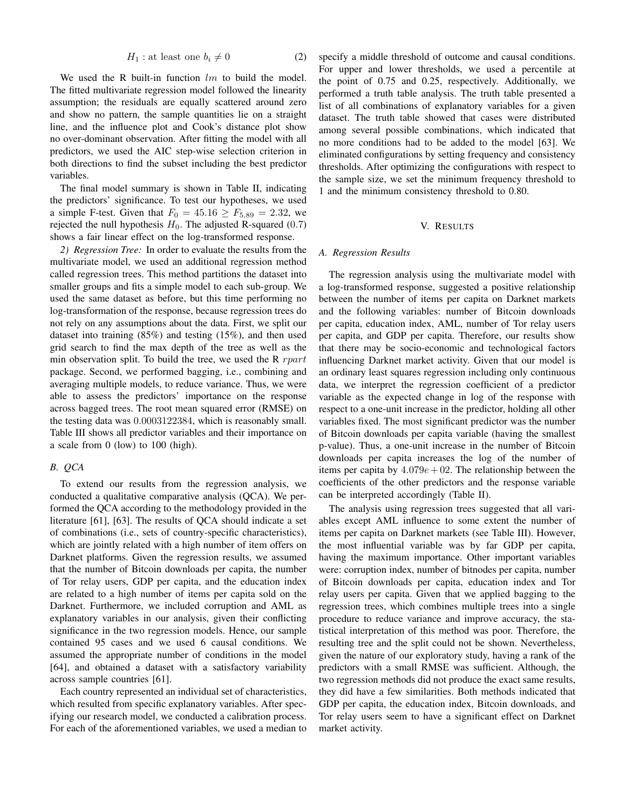$$
H_1: \text{at least one } b_i \neq 0 \tag{2}
$$

We used the R built-in function  $lm$  to build the model. The fitted multivariate regression model followed the linearity assumption; the residuals are equally scattered around zero and show no pattern, the sample quantities lie on a straight line, and the influence plot and Cook's distance plot show no over-dominant observation. After fitting the model with all predictors, we used the AIC step-wise selection criterion in both directions to find the subset including the best predictor variables.

The final model summary is shown in Table II, indicating the predictors' significance. To test our hypotheses, we used a simple F-test. Given that  $F_0 = 45.16 \ge F_{5,89} = 2.32$ , we rejected the null hypothesis  $H_0$ . The adjusted R-squared (0.7) shows a fair linear effect on the log-transformed response.

*2) Regression Tree:* In order to evaluate the results from the multivariate model, we used an additional regression method called regression trees. This method partitions the dataset into smaller groups and fits a simple model to each sub-group. We used the same dataset as before, but this time performing no log-transformation of the response, because regression trees do not rely on any assumptions about the data. First, we split our dataset into training (85%) and testing (15%), and then used grid search to find the max depth of the tree as well as the min observation split. To build the tree, we used the R  $rpart$ package. Second, we performed bagging, i.e., combining and averaging multiple models, to reduce variance. Thus, we were able to assess the predictors' importance on the response across bagged trees. The root mean squared error (RMSE) on the testing data was 0.0003122384, which is reasonably small. Table III shows all predictor variables and their importance on a scale from 0 (low) to 100 (high).

#### *B. QCA*

To extend our results from the regression analysis, we conducted a qualitative comparative analysis (QCA). We performed the QCA according to the methodology provided in the literature [61], [63]. The results of QCA should indicate a set of combinations (i.e., sets of country-specific characteristics), which are jointly related with a high number of item offers on Darknet platforms. Given the regression results, we assumed that the number of Bitcoin downloads per capita, the number of Tor relay users, GDP per capita, and the education index are related to a high number of items per capita sold on the Darknet. Furthermore, we included corruption and AML as explanatory variables in our analysis, given their conflicting significance in the two regression models. Hence, our sample contained 95 cases and we used 6 causal conditions. We assumed the appropriate number of conditions in the model [64], and obtained a dataset with a satisfactory variability across sample countries [61].

Each country represented an individual set of characteristics, which resulted from specific explanatory variables. After specifying our research model, we conducted a calibration process. For each of the aforementioned variables, we used a median to specify a middle threshold of outcome and causal conditions. For upper and lower thresholds, we used a percentile at the point of 0.75 and 0.25, respectively. Additionally, we performed a truth table analysis. The truth table presented a list of all combinations of explanatory variables for a given dataset. The truth table showed that cases were distributed among several possible combinations, which indicated that no more conditions had to be added to the model [63]. We eliminated configurations by setting frequency and consistency thresholds. After optimizing the configurations with respect to the sample size, we set the minimum frequency threshold to 1 and the minimum consistency threshold to 0.80.

## V. RESULTS

#### *A. Regression Results*

The regression analysis using the multivariate model with a log-transformed response, suggested a positive relationship between the number of items per capita on Darknet markets and the following variables: number of Bitcoin downloads per capita, education index, AML, number of Tor relay users per capita, and GDP per capita. Therefore, our results show that there may be socio-economic and technological factors influencing Darknet market activity. Given that our model is an ordinary least squares regression including only continuous data, we interpret the regression coefficient of a predictor variable as the expected change in log of the response with respect to a one-unit increase in the predictor, holding all other variables fixed. The most significant predictor was the number of Bitcoin downloads per capita variable (having the smallest p-value). Thus, a one-unit increase in the number of Bitcoin downloads per capita increases the log of the number of items per capita by  $4.079e + 02$ . The relationship between the coefficients of the other predictors and the response variable can be interpreted accordingly (Table II).

The analysis using regression trees suggested that all variables except AML influence to some extent the number of items per capita on Darknet markets (see Table III). However, the most influential variable was by far GDP per capita, having the maximum importance. Other important variables were: corruption index, number of bitnodes per capita, number of Bitcoin downloads per capita, education index and Tor relay users per capita. Given that we applied bagging to the regression trees, which combines multiple trees into a single procedure to reduce variance and improve accuracy, the statistical interpretation of this method was poor. Therefore, the resulting tree and the split could not be shown. Nevertheless, given the nature of our exploratory study, having a rank of the predictors with a small RMSE was sufficient. Although, the two regression methods did not produce the exact same results, they did have a few similarities. Both methods indicated that GDP per capita, the education index, Bitcoin downloads, and Tor relay users seem to have a significant effect on Darknet market activity.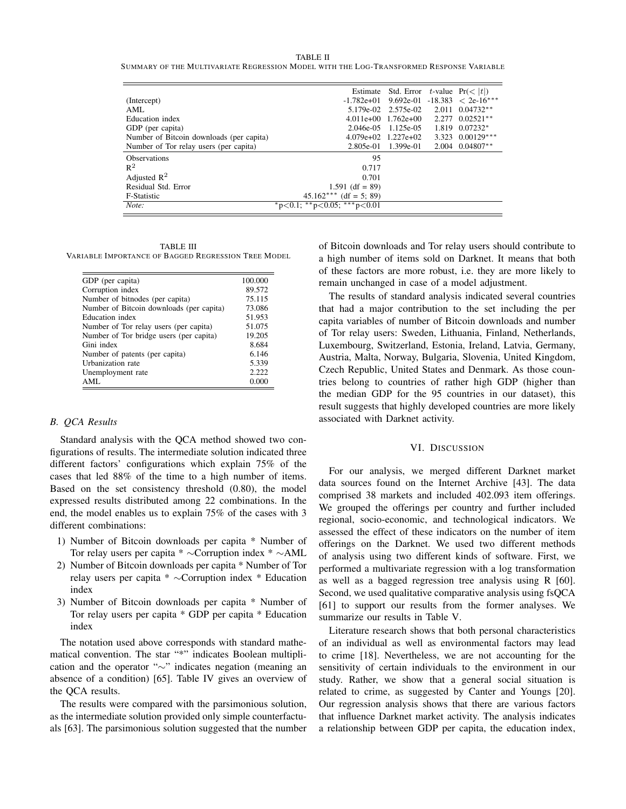TABLE II

SUMMARY OF THE MULTIVARIATE REGRESSION MODEL WITH THE LOG-TRANSFORMED RESPONSE VARIABLE

|                                          |                             | Estimate Std. Error t-value $Pr(<  t )$ |       |                      |
|------------------------------------------|-----------------------------|-----------------------------------------|-------|----------------------|
| (Intercept)                              | $-1.782e+01$                | 9.692e-01                               |       | $-18.383 < 2e-16***$ |
| AML                                      |                             | 5.179e-02 2.575e-02 2.011 0.04732**     |       |                      |
| Education index                          | $4.011e+00$                 | $1.762e+00$                             | 2.277 | $0.02521**$          |
| GDP (per capita)                         | $2.046e-0.5$                | 1.125e-05                               | 1.819 | $0.07232*$           |
| Number of Bitcoin downloads (per capita) | $4.079e+02$ 1.227e+02       |                                         |       | 3.323 0.00129***     |
| Number of Tor relay users (per capita)   | $2.805e-01$                 | 1.399e-01                               |       | $2.004$ 0.04807**    |
| <b>Observations</b>                      | 95                          |                                         |       |                      |
| $R^2$                                    | 0.717                       |                                         |       |                      |
| Adjusted $\mathbb{R}^2$                  | 0.701                       |                                         |       |                      |
| Residual Std. Error                      | 1.591 (df = 89)             |                                         |       |                      |
| F-Statistic                              | $45.162***$ (df = 5; 89)    |                                         |       |                      |
| Note:                                    | *p<0.1; **p<0.05; ***p<0.01 |                                         |       |                      |

TABLE III VARIABLE IMPORTANCE OF BAGGED REGRESSION TREE MODEL

| GDP (per capita)                         | 100.000 |
|------------------------------------------|---------|
| Corruption index                         | 89.572  |
| Number of bitnodes (per capita)          | 75.115  |
| Number of Bitcoin downloads (per capita) | 73.086  |
| Education index                          | 51.953  |
| Number of Tor relay users (per capita)   | 51.075  |
| Number of Tor bridge users (per capita)  | 19.205  |
| Gini index                               | 8.684   |
| Number of patents (per capita)           | 6.146   |
| Urbanization rate                        | 5.339   |
| Unemployment rate                        | 2.222   |
| AML.                                     | 0.000   |

## *B. QCA Results*

Standard analysis with the QCA method showed two configurations of results. The intermediate solution indicated three different factors' configurations which explain 75% of the cases that led 88% of the time to a high number of items. Based on the set consistency threshold (0.80), the model expressed results distributed among 22 combinations. In the end, the model enables us to explain 75% of the cases with 3 different combinations:

- 1) Number of Bitcoin downloads per capita \* Number of Tor relay users per capita \* ∼Corruption index \* ∼AML
- 2) Number of Bitcoin downloads per capita \* Number of Tor relay users per capita \* ∼Corruption index \* Education index
- 3) Number of Bitcoin downloads per capita \* Number of Tor relay users per capita \* GDP per capita \* Education index

The notation used above corresponds with standard mathematical convention. The star "\*" indicates Boolean multiplication and the operator "∼" indicates negation (meaning an absence of a condition) [65]. Table IV gives an overview of the QCA results.

The results were compared with the parsimonious solution, as the intermediate solution provided only simple counterfactuals [63]. The parsimonious solution suggested that the number of Bitcoin downloads and Tor relay users should contribute to a high number of items sold on Darknet. It means that both of these factors are more robust, i.e. they are more likely to remain unchanged in case of a model adjustment.

The results of standard analysis indicated several countries that had a major contribution to the set including the per capita variables of number of Bitcoin downloads and number of Tor relay users: Sweden, Lithuania, Finland, Netherlands, Luxembourg, Switzerland, Estonia, Ireland, Latvia, Germany, Austria, Malta, Norway, Bulgaria, Slovenia, United Kingdom, Czech Republic, United States and Denmark. As those countries belong to countries of rather high GDP (higher than the median GDP for the 95 countries in our dataset), this result suggests that highly developed countries are more likely associated with Darknet activity.

#### VI. DISCUSSION

For our analysis, we merged different Darknet market data sources found on the Internet Archive [43]. The data comprised 38 markets and included 402.093 item offerings. We grouped the offerings per country and further included regional, socio-economic, and technological indicators. We assessed the effect of these indicators on the number of item offerings on the Darknet. We used two different methods of analysis using two different kinds of software. First, we performed a multivariate regression with a log transformation as well as a bagged regression tree analysis using R [60]. Second, we used qualitative comparative analysis using fsQCA [61] to support our results from the former analyses. We summarize our results in Table V.

Literature research shows that both personal characteristics of an individual as well as environmental factors may lead to crime [18]. Nevertheless, we are not accounting for the sensitivity of certain individuals to the environment in our study. Rather, we show that a general social situation is related to crime, as suggested by Canter and Youngs [20]. Our regression analysis shows that there are various factors that influence Darknet market activity. The analysis indicates a relationship between GDP per capita, the education index,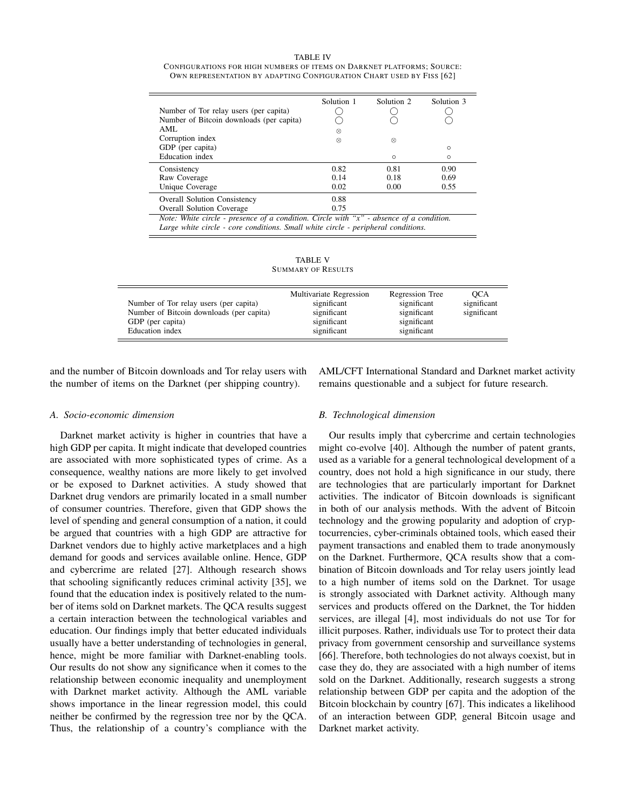TABLE IV CONFIGURATIONS FOR HIGH NUMBERS OF ITEMS ON DARKNET PLATFORMS; SOURCE: OWN REPRESENTATION BY ADAPTING CONFIGURATION CHART USED BY FISS [62]

|                                                                                             | Solution 1 | Solution 2 | Solution 3 |  |  |
|---------------------------------------------------------------------------------------------|------------|------------|------------|--|--|
| Number of Tor relay users (per capita)                                                      |            |            |            |  |  |
| Number of Bitcoin downloads (per capita)                                                    |            |            |            |  |  |
| AML                                                                                         | ∞          |            |            |  |  |
| Corruption index                                                                            | ⊗          | ⊗          |            |  |  |
| GDP (per capita)                                                                            |            |            | $\circ$    |  |  |
| Education index                                                                             |            | $\circ$    | $\circ$    |  |  |
| Consistency                                                                                 | 0.82       | 0.81       | 0.90       |  |  |
| Raw Coverage                                                                                | 0.14       | 0.18       | 0.69       |  |  |
| Unique Coverage                                                                             | 0.02       | 0.00       | 0.55       |  |  |
| <b>Overall Solution Consistency</b>                                                         | 0.88       |            |            |  |  |
| <b>Overall Solution Coverage</b>                                                            | 0.75       |            |            |  |  |
| Note: White circle - presence of a condition. Circle with " $x$ " - absence of a condition. |            |            |            |  |  |
| Large white circle - core conditions. Small white circle - peripheral conditions.           |            |            |            |  |  |

TABLE V SUMMARY OF RESULTS

| Number of Tor relay users (per capita)<br>Number of Bitcoin downloads (per capita)<br>GDP (per capita)<br>Education index | Multivariate Regression<br>significant<br>significant<br>significant<br>significant | Regression Tree<br>significant<br>significant<br>significant<br>significant | OCA<br>significant<br>significant |
|---------------------------------------------------------------------------------------------------------------------------|-------------------------------------------------------------------------------------|-----------------------------------------------------------------------------|-----------------------------------|
|---------------------------------------------------------------------------------------------------------------------------|-------------------------------------------------------------------------------------|-----------------------------------------------------------------------------|-----------------------------------|

and the number of Bitcoin downloads and Tor relay users with the number of items on the Darknet (per shipping country).

AML/CFT International Standard and Darknet market activity remains questionable and a subject for future research.

#### *A. Socio-economic dimension*

Darknet market activity is higher in countries that have a high GDP per capita. It might indicate that developed countries are associated with more sophisticated types of crime. As a consequence, wealthy nations are more likely to get involved or be exposed to Darknet activities. A study showed that Darknet drug vendors are primarily located in a small number of consumer countries. Therefore, given that GDP shows the level of spending and general consumption of a nation, it could be argued that countries with a high GDP are attractive for Darknet vendors due to highly active marketplaces and a high demand for goods and services available online. Hence, GDP and cybercrime are related [27]. Although research shows that schooling significantly reduces criminal activity [35], we found that the education index is positively related to the number of items sold on Darknet markets. The QCA results suggest a certain interaction between the technological variables and education. Our findings imply that better educated individuals usually have a better understanding of technologies in general, hence, might be more familiar with Darknet-enabling tools. Our results do not show any significance when it comes to the relationship between economic inequality and unemployment with Darknet market activity. Although the AML variable shows importance in the linear regression model, this could neither be confirmed by the regression tree nor by the QCA. Thus, the relationship of a country's compliance with the

## *B. Technological dimension*

Our results imply that cybercrime and certain technologies might co-evolve [40]. Although the number of patent grants, used as a variable for a general technological development of a country, does not hold a high significance in our study, there are technologies that are particularly important for Darknet activities. The indicator of Bitcoin downloads is significant in both of our analysis methods. With the advent of Bitcoin technology and the growing popularity and adoption of cryptocurrencies, cyber-criminals obtained tools, which eased their payment transactions and enabled them to trade anonymously on the Darknet. Furthermore, QCA results show that a combination of Bitcoin downloads and Tor relay users jointly lead to a high number of items sold on the Darknet. Tor usage is strongly associated with Darknet activity. Although many services and products offered on the Darknet, the Tor hidden services, are illegal [4], most individuals do not use Tor for illicit purposes. Rather, individuals use Tor to protect their data privacy from government censorship and surveillance systems [66]. Therefore, both technologies do not always coexist, but in case they do, they are associated with a high number of items sold on the Darknet. Additionally, research suggests a strong relationship between GDP per capita and the adoption of the Bitcoin blockchain by country [67]. This indicates a likelihood of an interaction between GDP, general Bitcoin usage and Darknet market activity.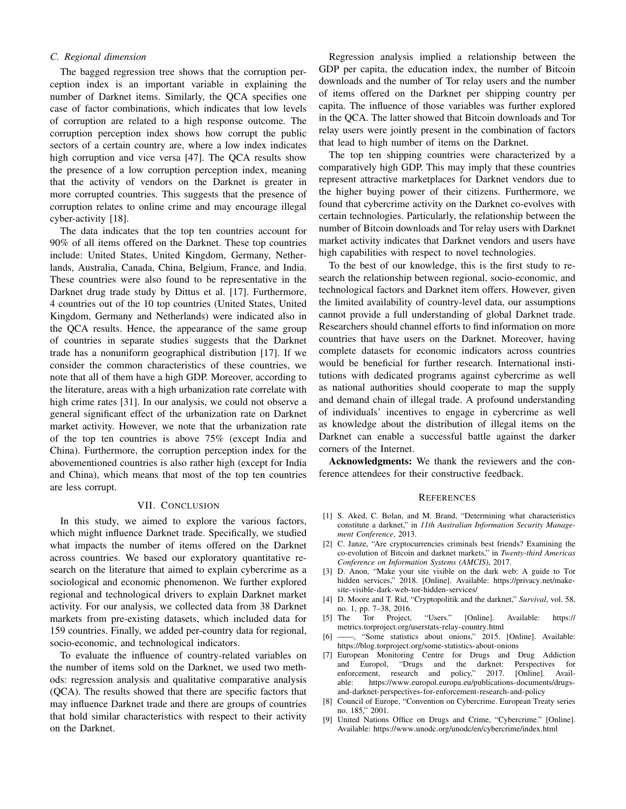## *C. Regional dimension*

The bagged regression tree shows that the corruption perception index is an important variable in explaining the number of Darknet items. Similarly, the QCA specifies one case of factor combinations, which indicates that low levels of corruption are related to a high response outcome. The corruption perception index shows how corrupt the public sectors of a certain country are, where a low index indicates high corruption and vice versa [47]. The QCA results show the presence of a low corruption perception index, meaning that the activity of vendors on the Darknet is greater in more corrupted countries. This suggests that the presence of corruption relates to online crime and may encourage illegal cyber-activity [18].

The data indicates that the top ten countries account for 90% of all items offered on the Darknet. These top countries include: United States, United Kingdom, Germany, Netherlands, Australia, Canada, China, Belgium, France, and India. These countries were also found to be representative in the Darknet drug trade study by Dittus et al. [17]. Furthermore, 4 countries out of the 10 top countries (United States, United Kingdom, Germany and Netherlands) were indicated also in the QCA results. Hence, the appearance of the same group of countries in separate studies suggests that the Darknet trade has a nonuniform geographical distribution [17]. If we consider the common characteristics of these countries, we note that all of them have a high GDP. Moreover, according to the literature, areas with a high urbanization rate correlate with high crime rates [31]. In our analysis, we could not observe a general significant effect of the urbanization rate on Darknet market activity. However, we note that the urbanization rate of the top ten countries is above 75% (except India and China). Furthermore, the corruption perception index for the abovementioned countries is also rather high (except for India and China), which means that most of the top ten countries are less corrupt.

# VII. CONCLUSION

In this study, we aimed to explore the various factors, which might influence Darknet trade. Specifically, we studied what impacts the number of items offered on the Darknet across countries. We based our exploratory quantitative research on the literature that aimed to explain cybercrime as a sociological and economic phenomenon. We further explored regional and technological drivers to explain Darknet market activity. For our analysis, we collected data from 38 Darknet markets from pre-existing datasets, which included data for 159 countries. Finally, we added per-country data for regional, socio-economic, and technological indicators.

To evaluate the influence of country-related variables on the number of items sold on the Darknet, we used two methods: regression analysis and qualitative comparative analysis (QCA). The results showed that there are specific factors that may influence Darknet trade and there are groups of countries that hold similar characteristics with respect to their activity on the Darknet.

Regression analysis implied a relationship between the GDP per capita, the education index, the number of Bitcoin downloads and the number of Tor relay users and the number of items offered on the Darknet per shipping country per capita. The influence of those variables was further explored in the QCA. The latter showed that Bitcoin downloads and Tor relay users were jointly present in the combination of factors that lead to high number of items on the Darknet.

The top ten shipping countries were characterized by a comparatively high GDP. This may imply that these countries represent attractive marketplaces for Darknet vendors due to the higher buying power of their citizens. Furthermore, we found that cybercrime activity on the Darknet co-evolves with certain technologies. Particularly, the relationship between the number of Bitcoin downloads and Tor relay users with Darknet market activity indicates that Darknet vendors and users have high capabilities with respect to novel technologies.

To the best of our knowledge, this is the first study to research the relationship between regional, socio-economic, and technological factors and Darknet item offers. However, given the limited availability of country-level data, our assumptions cannot provide a full understanding of global Darknet trade. Researchers should channel efforts to find information on more countries that have users on the Darknet. Moreover, having complete datasets for economic indicators across countries would be beneficial for further research. International institutions with dedicated programs against cybercrime as well as national authorities should cooperate to map the supply and demand chain of illegal trade. A profound understanding of individuals' incentives to engage in cybercrime as well as knowledge about the distribution of illegal items on the Darknet can enable a successful battle against the darker corners of the Internet.

Acknowledgments: We thank the reviewers and the conference attendees for their constructive feedback.

#### **REFERENCES**

- [1] S. Aked, C. Bolan, and M. Brand, "Determining what characteristics constitute a darknet," in *11th Australian Information Security Management Conference*, 2013.
- [2] C. Janze, "Are cryptocurrencies criminals best friends? Examining the co-evolution of Bitcoin and darknet markets," in *Twenty-third Americas Conference on Information Systems (AMCIS)*, 2017.
- [3] D. Anon, "Make your site visible on the dark web: A guide to Tor hidden services," 2018. [Online]. Available: https://privacy.net/makesite-visible-dark-web-tor-hidden-services/
- [4] D. Moore and T. Rid, "Cryptopolitik and the darknet," *Survival*, vol. 58, no. 1, pp. 7–38, 2016.
- [5] The Tor Project, "Users." [Online]. Available: https:// metrics.torproject.org/userstats-relay-country.html
- [6] ——, "Some statistics about onions," 2015. [Online]. Available: https://blog.torproject.org/some-statistics-about-onions
- [7] European Monitoring Centre for Drugs and Drug Addiction and Europol, "Drugs and the darknet: Perspectives for<br>enforcement, research and policy," 2017. [Online]. Availenforcement, research and policy," 2017. [Online]. Available: https://www.europol.europa.eu/publications-documents/drugsand-darknet-perspectives-for-enforcement-research-and-policy
- [8] Council of Europe, "Convention on Cybercrime. European Treaty series no. 185," 2001.
- United Nations Office on Drugs and Crime, "Cybercrime." [Online]. Available: https://www.unodc.org/unodc/en/cybercrime/index.html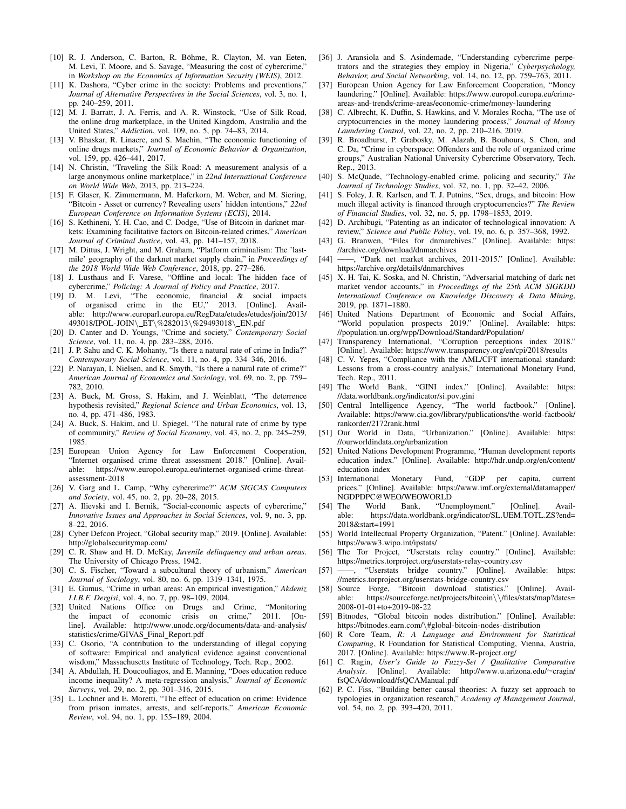- [10] R. J. Anderson, C. Barton, R. Böhme, R. Clayton, M. van Eeten, M. Levi, T. Moore, and S. Savage, "Measuring the cost of cybercrime," in *Workshop on the Economics of Information Security (WEIS)*, 2012.
- [11] K. Dashora, "Cyber crime in the society: Problems and preventions," *Journal of Alternative Perspectives in the Social Sciences*, vol. 3, no. 1, pp. 240–259, 2011.
- [12] M. J. Barratt, J. A. Ferris, and A. R. Winstock, "Use of Silk Road, the online drug marketplace, in the United Kingdom, Australia and the United States," *Addiction*, vol. 109, no. 5, pp. 74–83, 2014.
- [13] V. Bhaskar, R. Linacre, and S. Machin, "The economic functioning of online drugs markets," *Journal of Economic Behavior & Organization*, vol. 159, pp. 426–441, 2017.
- [14] N. Christin, "Traveling the Silk Road: A measurement analysis of a large anonymous online marketplace," in *22nd International Conference on World Wide Web*, 2013, pp. 213–224.
- [15] F. Glaser, K. Zimmermann, M. Haferkorn, M. Weber, and M. Siering, "Bitcoin - Asset or currency? Revealing users' hidden intentions," *22nd European Conference on Information Systems (ECIS)*, 2014.
- [16] S. Kethineni, Y. H. Cao, and C. Dodge, "Use of Bitcoin in darknet markets: Examining facilitative factors on Bitcoin-related crimes," *American Journal of Criminal Justice*, vol. 43, pp. 141–157, 2018.
- [17] M. Dittus, J. Wright, and M. Graham, "Platform criminalism: The 'lastmile' geography of the darknet market supply chain," in *Proceedings of the 2018 World Wide Web Conference*, 2018, pp. 277–286.
- [18] J. Lusthaus and F. Varese, "Offline and local: The hidden face of cybercrime," *Policing: A Journal of Policy and Practice*, 2017.
- [19] D. M. Levi, "The economic, financial & social impacts of organised crime in the EU," 2013. [Online]. Available: http://www.europarl.europa.eu/RegData/etudes/etudes/join/2013/ 493018/IPOL-JOIN\ ET\%282013\%29493018\ EN.pdf
- [20] D. Canter and D. Youngs, "Crime and society," *Contemporary Social Science*, vol. 11, no. 4, pp. 283–288, 2016.
- [21] J. P. Sahu and C. K. Mohanty, "Is there a natural rate of crime in India?" *Contemporary Social Science*, vol. 11, no. 4, pp. 334–346, 2016.
- [22] P. Narayan, I. Nielsen, and R. Smyth, "Is there a natural rate of crime?" *American Journal of Economics and Sociology*, vol. 69, no. 2, pp. 759– 782, 2010.
- [23] A. Buck, M. Gross, S. Hakim, and J. Weinblatt, "The deterrence hypothesis revisited," *Regional Science and Urban Economics*, vol. 13, no. 4, pp. 471–486, 1983.
- [24] A. Buck, S. Hakim, and U. Spiegel, "The natural rate of crime by type of community," *Review of Social Economy*, vol. 43, no. 2, pp. 245–259, 1985.
- [25] European Union Agency for Law Enforcement Cooperation, "Internet organised crime threat assessment 2018." [Online]. Available: https://www.europol.europa.eu/internet-organised-crime-threatassessment-2018
- [26] V. Garg and L. Camp, "Why cybercrime?" *ACM SIGCAS Computers and Society*, vol. 45, no. 2, pp. 20–28, 2015.
- [27] A. Ilievski and I. Bernik, "Social-economic aspects of cybercrime," *Innovative Issues and Approaches in Social Sciences*, vol. 9, no. 3, pp. 8–22, 2016.
- [28] Cyber Defcon Project, "Global security map," 2019. [Online]. Available: http://globalsecuritymap.com/
- [29] C. R. Shaw and H. D. McKay, *Juvenile delinquency and urban areas*. The University of Chicago Press, 1942.
- [30] C. S. Fischer, "Toward a subcultural theory of urbanism," *American Journal of Sociology*, vol. 80, no. 6, pp. 1319–1341, 1975.
- [31] E. Gumus, "Crime in urban areas: An empirical investigation," *Akdeniz I.I.B.F. Dergisi*, vol. 4, no. 7, pp. 98–109, 2004.
- [32] United Nations Office on Drugs and Crime, "Monitoring the impact of economic crisis on crime," line]. Available: http://www.unodc.org/documents/data-and-analysis/ statistics/crime/GIVAS\_Final\_Report.pdf
- [33] C. Osorio, "A contribution to the understanding of illegal copying of software: Empirical and analytical evidence against conventional wisdom," Massachusetts Institute of Technology, Tech. Rep., 2002.
- [34] A. Abdullah, H. Doucouliagos, and E. Manning, "Does education reduce income inequality? A meta-regression analysis," *Journal of Economic Surveys*, vol. 29, no. 2, pp. 301–316, 2015.
- [35] L. Lochner and E. Moretti, "The effect of education on crime: Evidence from prison inmates, arrests, and self-reports," *American Economic Review*, vol. 94, no. 1, pp. 155–189, 2004.
- [36] J. Aransiola and S. Asindemade, "Understanding cybercrime perpetrators and the strategies they employ in Nigeria," *Cyberpsychology, Behavior, and Social Networking*, vol. 14, no. 12, pp. 759–763, 2011.
- [37] European Union Agency for Law Enforcement Cooperation, "Money laundering." [Online]. Available: https://www.europol.europa.eu/crimeareas-and-trends/crime-areas/economic-crime/money-laundering
- [38] C. Albrecht, K. Duffin, S. Hawkins, and V. Morales Rocha, "The use of cryptocurrencies in the money laundering process," *Journal of Money Laundering Control*, vol. 22, no. 2, pp. 210–216, 2019.
- [39] R. Broadhurst, P. Grabosky, M. Alazab, B. Bouhours, S. Chon, and C. Da, "Crime in cyberspace: Offenders and the role of organized crime groups," Australian National University Cybercrime Observatory, Tech. Rep., 2013.
- [40] S. McQuade, "Technology-enabled crime, policing and security," *The Journal of Technology Studies*, vol. 32, no. 1, pp. 32–42, 2006.
- [41] S. Foley, J. R. Karlsen, and T. J. Putnins, "Sex, drugs, and bitcoin: How much illegal activity is financed through cryptocurrencies?" *The Review of Financial Studies*, vol. 32, no. 5, pp. 1798–1853, 2019.
- [42] D. Archibugi, "Patenting as an indicator of technological innovation: A review," *Science and Public Policy*, vol. 19, no. 6, p. 357–368, 1992.
- [43] G. Branwen, "Files for dnmarchives." [Online]. Available: https: //archive.org/download/dnmarchives
- [44] -, "Dark net market archives, 2011-2015." [Online]. Available: https://archive.org/details/dnmarchives
- [45] X. H. Tai, K. Soska, and N. Christin, "Adversarial matching of dark net market vendor accounts," in *Proceedings of the 25th ACM SIGKDD International Conference on Knowledge Discovery & Data Mining*, 2019, pp. 1871–1880.
- [46] United Nations Department of Economic and Social Affairs, "World population prospects 2019." [Online]. Available: https: //population.un.org/wpp/Download/Standard/Population/
- [47] Transparency International, "Corruption perceptions index 2018." [Online]. Available: https://www.transparency.org/en/cpi/2018/results
- [48] C. V. Yepes, "Compliance with the AML/CFT international standard: Lessons from a cross-country analysis," International Monetary Fund, Tech. Rep., 2011.
- [49] The World Bank, "GINI index." [Online]. Available: https: //data.worldbank.org/indicator/si.pov.gini
- [50] Central Intelligence Agency, "The world factbook." [Online]. Available: https://www.cia.gov/library/publications/the-world-factbook/ rankorder/2172rank.html
- [51] Our World in Data, "Urbanization." [Online]. Available: https: //ourworldindata.org/urbanization
- [52] United Nations Development Programme, "Human development reports education index." [Online]. Available: http://hdr.undp.org/en/content/ education-index<br>International Monetary Fund,
- [53] International Monetary Fund, "GDP per capita, current prices." [Online]. Available: https://www.imf.org/external/datamapper/ NGDPDPC@WEO/WEOWORLD
- [54] The World Bank, "Unemployment." [Online]. Available: https://data.worldbank.org/indicator/SL.UEM.TOTL.ZS?end= 2018&start=1991
- [55] World Intellectual Property Organization, "Patent." [Online]. Available: https://www3.wipo.int/ipstats/
- [56] The Tor Project, "Userstats relay country." [Online]. Available: https://metrics.torproject.org/userstats-relay-country.csv
- [57] ——, "Userstats bridge country." [Online]. Available: https: //metrics.torproject.org/userstats-bridge-country.csv
- [58] Source Forge, "Bitcoin download statistics." [Online]. Available: https://sourceforge.net/projects/bitcoin\\/files/stats/map?dates= 2008-01-01+to+2019-08-22
- [59] Bitnodes, "Global bitcoin nodes distribution." [Online]. Available: https://bitnodes.earn.com/\#global-bitcoin-nodes-distribution
- [60] R Core Team, *R: A Language and Environment for Statistical Computing*, R Foundation for Statistical Computing, Vienna, Austria, 2017. [Online]. Available: https://www.R-project.org/
- [61] C. Ragin, *User's Guide to Fuzzy-Set / Qualitative Comparative Analysis*. [Online]. Available: http://www.u.arizona.edu/∼cragin/ fsQCA/download/fsQCAManual.pdf
- [62] P. C. Fiss, "Building better causal theories: A fuzzy set approach to typologies in organization research," *Academy of Management Journal*, vol. 54, no. 2, pp. 393–420, 2011.